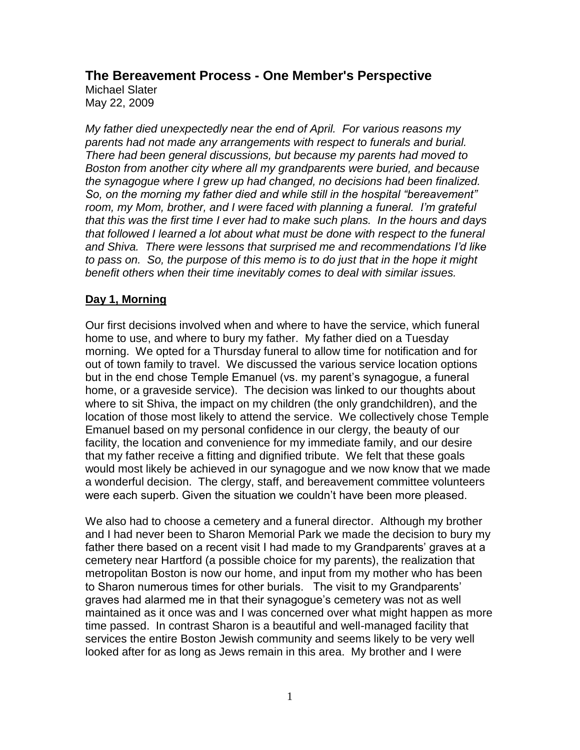**The Bereavement Process - One Member's Perspective**

Michael Slater May 22, 2009

*My father died unexpectedly near the end of April. For various reasons my parents had not made any arrangements with respect to funerals and burial. There had been general discussions, but because my parents had moved to Boston from another city where all my grandparents were buried, and because the synagogue where I grew up had changed, no decisions had been finalized. So, on the morning my father died and while still in the hospital "bereavement" room, my Mom, brother, and I were faced with planning a funeral. I'm grateful that this was the first time I ever had to make such plans. In the hours and days that followed I learned a lot about what must be done with respect to the funeral and Shiva. There were lessons that surprised me and recommendations I'd like to pass on. So, the purpose of this memo is to do just that in the hope it might benefit others when their time inevitably comes to deal with similar issues.*

### **Day 1, Morning**

Our first decisions involved when and where to have the service, which funeral home to use, and where to bury my father. My father died on a Tuesday morning. We opted for a Thursday funeral to allow time for notification and for out of town family to travel. We discussed the various service location options but in the end chose Temple Emanuel (vs. my parent's synagogue, a funeral home, or a graveside service). The decision was linked to our thoughts about where to sit Shiva, the impact on my children (the only grandchildren), and the location of those most likely to attend the service. We collectively chose Temple Emanuel based on my personal confidence in our clergy, the beauty of our facility, the location and convenience for my immediate family, and our desire that my father receive a fitting and dignified tribute. We felt that these goals would most likely be achieved in our synagogue and we now know that we made a wonderful decision. The clergy, staff, and bereavement committee volunteers were each superb. Given the situation we couldn't have been more pleased.

We also had to choose a cemetery and a funeral director. Although my brother and I had never been to Sharon Memorial Park we made the decision to bury my father there based on a recent visit I had made to my Grandparents' graves at a cemetery near Hartford (a possible choice for my parents), the realization that metropolitan Boston is now our home, and input from my mother who has been to Sharon numerous times for other burials. The visit to my Grandparents' graves had alarmed me in that their synagogue's cemetery was not as well maintained as it once was and I was concerned over what might happen as more time passed. In contrast Sharon is a beautiful and well-managed facility that services the entire Boston Jewish community and seems likely to be very well looked after for as long as Jews remain in this area. My brother and I were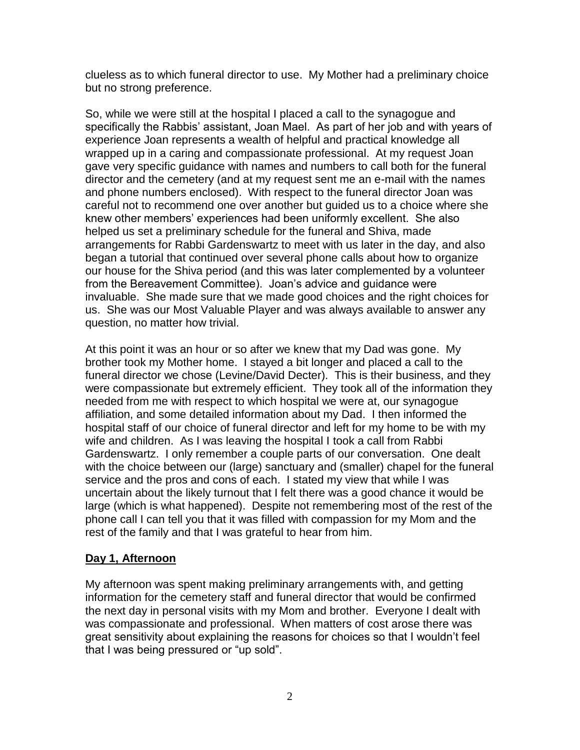clueless as to which funeral director to use. My Mother had a preliminary choice but no strong preference.

So, while we were still at the hospital I placed a call to the synagogue and specifically the Rabbis' assistant, Joan Mael. As part of her job and with years of experience Joan represents a wealth of helpful and practical knowledge all wrapped up in a caring and compassionate professional. At my request Joan gave very specific guidance with names and numbers to call both for the funeral director and the cemetery (and at my request sent me an e-mail with the names and phone numbers enclosed). With respect to the funeral director Joan was careful not to recommend one over another but guided us to a choice where she knew other members' experiences had been uniformly excellent. She also helped us set a preliminary schedule for the funeral and Shiva, made arrangements for Rabbi Gardenswartz to meet with us later in the day, and also began a tutorial that continued over several phone calls about how to organize our house for the Shiva period (and this was later complemented by a volunteer from the Bereavement Committee). Joan's advice and guidance were invaluable. She made sure that we made good choices and the right choices for us. She was our Most Valuable Player and was always available to answer any question, no matter how trivial.

At this point it was an hour or so after we knew that my Dad was gone. My brother took my Mother home. I stayed a bit longer and placed a call to the funeral director we chose (Levine/David Decter). This is their business, and they were compassionate but extremely efficient. They took all of the information they needed from me with respect to which hospital we were at, our synagogue affiliation, and some detailed information about my Dad. I then informed the hospital staff of our choice of funeral director and left for my home to be with my wife and children. As I was leaving the hospital I took a call from Rabbi Gardenswartz. I only remember a couple parts of our conversation. One dealt with the choice between our (large) sanctuary and (smaller) chapel for the funeral service and the pros and cons of each. I stated my view that while I was uncertain about the likely turnout that I felt there was a good chance it would be large (which is what happened). Despite not remembering most of the rest of the phone call I can tell you that it was filled with compassion for my Mom and the rest of the family and that I was grateful to hear from him.

## **Day 1, Afternoon**

My afternoon was spent making preliminary arrangements with, and getting information for the cemetery staff and funeral director that would be confirmed the next day in personal visits with my Mom and brother. Everyone I dealt with was compassionate and professional. When matters of cost arose there was great sensitivity about explaining the reasons for choices so that I wouldn't feel that I was being pressured or "up sold".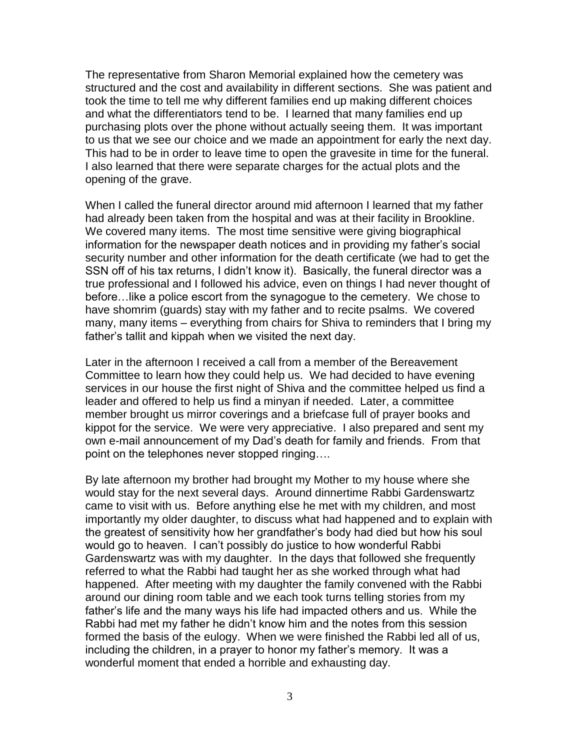The representative from Sharon Memorial explained how the cemetery was structured and the cost and availability in different sections. She was patient and took the time to tell me why different families end up making different choices and what the differentiators tend to be. I learned that many families end up purchasing plots over the phone without actually seeing them. It was important to us that we see our choice and we made an appointment for early the next day. This had to be in order to leave time to open the gravesite in time for the funeral. I also learned that there were separate charges for the actual plots and the opening of the grave.

When I called the funeral director around mid afternoon I learned that my father had already been taken from the hospital and was at their facility in Brookline. We covered many items. The most time sensitive were giving biographical information for the newspaper death notices and in providing my father's social security number and other information for the death certificate (we had to get the SSN off of his tax returns, I didn't know it). Basically, the funeral director was a true professional and I followed his advice, even on things I had never thought of before…like a police escort from the synagogue to the cemetery. We chose to have shomrim (guards) stay with my father and to recite psalms. We covered many, many items – everything from chairs for Shiva to reminders that I bring my father's tallit and kippah when we visited the next day.

Later in the afternoon I received a call from a member of the Bereavement Committee to learn how they could help us. We had decided to have evening services in our house the first night of Shiva and the committee helped us find a leader and offered to help us find a minyan if needed. Later, a committee member brought us mirror coverings and a briefcase full of prayer books and kippot for the service. We were very appreciative. I also prepared and sent my own e-mail announcement of my Dad's death for family and friends. From that point on the telephones never stopped ringing….

By late afternoon my brother had brought my Mother to my house where she would stay for the next several days. Around dinnertime Rabbi Gardenswartz came to visit with us. Before anything else he met with my children, and most importantly my older daughter, to discuss what had happened and to explain with the greatest of sensitivity how her grandfather's body had died but how his soul would go to heaven. I can't possibly do justice to how wonderful Rabbi Gardenswartz was with my daughter. In the days that followed she frequently referred to what the Rabbi had taught her as she worked through what had happened. After meeting with my daughter the family convened with the Rabbi around our dining room table and we each took turns telling stories from my father's life and the many ways his life had impacted others and us. While the Rabbi had met my father he didn't know him and the notes from this session formed the basis of the eulogy. When we were finished the Rabbi led all of us, including the children, in a prayer to honor my father's memory. It was a wonderful moment that ended a horrible and exhausting day.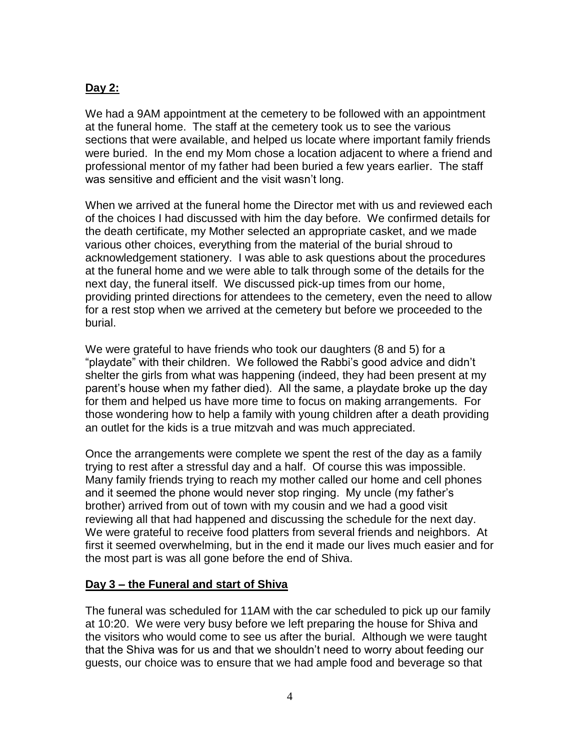# **Day 2:**

We had a 9AM appointment at the cemetery to be followed with an appointment at the funeral home. The staff at the cemetery took us to see the various sections that were available, and helped us locate where important family friends were buried. In the end my Mom chose a location adjacent to where a friend and professional mentor of my father had been buried a few years earlier. The staff was sensitive and efficient and the visit wasn't long.

When we arrived at the funeral home the Director met with us and reviewed each of the choices I had discussed with him the day before. We confirmed details for the death certificate, my Mother selected an appropriate casket, and we made various other choices, everything from the material of the burial shroud to acknowledgement stationery. I was able to ask questions about the procedures at the funeral home and we were able to talk through some of the details for the next day, the funeral itself. We discussed pick-up times from our home, providing printed directions for attendees to the cemetery, even the need to allow for a rest stop when we arrived at the cemetery but before we proceeded to the burial.

We were grateful to have friends who took our daughters (8 and 5) for a "playdate" with their children. We followed the Rabbi's good advice and didn't shelter the girls from what was happening (indeed, they had been present at my parent's house when my father died). All the same, a playdate broke up the day for them and helped us have more time to focus on making arrangements. For those wondering how to help a family with young children after a death providing an outlet for the kids is a true mitzvah and was much appreciated.

Once the arrangements were complete we spent the rest of the day as a family trying to rest after a stressful day and a half. Of course this was impossible. Many family friends trying to reach my mother called our home and cell phones and it seemed the phone would never stop ringing. My uncle (my father's brother) arrived from out of town with my cousin and we had a good visit reviewing all that had happened and discussing the schedule for the next day. We were grateful to receive food platters from several friends and neighbors. At first it seemed overwhelming, but in the end it made our lives much easier and for the most part is was all gone before the end of Shiva.

## **Day 3 – the Funeral and start of Shiva**

The funeral was scheduled for 11AM with the car scheduled to pick up our family at 10:20. We were very busy before we left preparing the house for Shiva and the visitors who would come to see us after the burial. Although we were taught that the Shiva was for us and that we shouldn't need to worry about feeding our guests, our choice was to ensure that we had ample food and beverage so that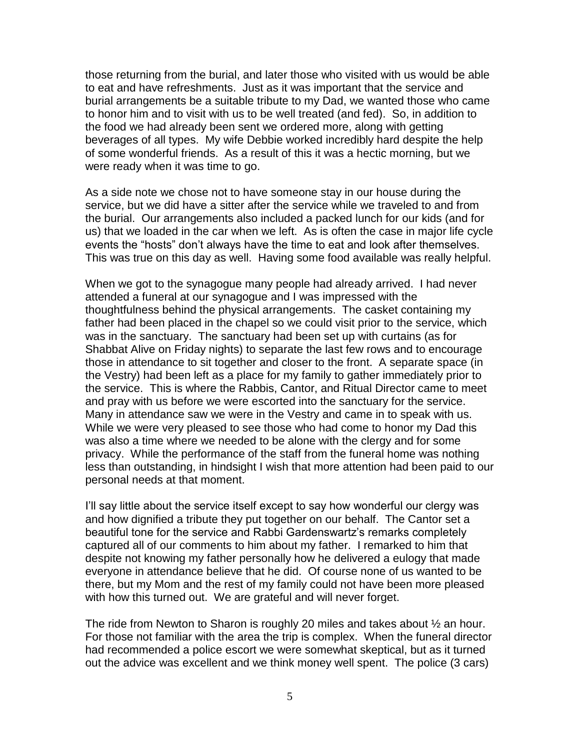those returning from the burial, and later those who visited with us would be able to eat and have refreshments. Just as it was important that the service and burial arrangements be a suitable tribute to my Dad, we wanted those who came to honor him and to visit with us to be well treated (and fed). So, in addition to the food we had already been sent we ordered more, along with getting beverages of all types. My wife Debbie worked incredibly hard despite the help of some wonderful friends. As a result of this it was a hectic morning, but we were ready when it was time to go.

As a side note we chose not to have someone stay in our house during the service, but we did have a sitter after the service while we traveled to and from the burial. Our arrangements also included a packed lunch for our kids (and for us) that we loaded in the car when we left. As is often the case in major life cycle events the "hosts" don't always have the time to eat and look after themselves. This was true on this day as well. Having some food available was really helpful.

When we got to the synagogue many people had already arrived. I had never attended a funeral at our synagogue and I was impressed with the thoughtfulness behind the physical arrangements. The casket containing my father had been placed in the chapel so we could visit prior to the service, which was in the sanctuary. The sanctuary had been set up with curtains (as for Shabbat Alive on Friday nights) to separate the last few rows and to encourage those in attendance to sit together and closer to the front. A separate space (in the Vestry) had been left as a place for my family to gather immediately prior to the service. This is where the Rabbis, Cantor, and Ritual Director came to meet and pray with us before we were escorted into the sanctuary for the service. Many in attendance saw we were in the Vestry and came in to speak with us. While we were very pleased to see those who had come to honor my Dad this was also a time where we needed to be alone with the clergy and for some privacy. While the performance of the staff from the funeral home was nothing less than outstanding, in hindsight I wish that more attention had been paid to our personal needs at that moment.

I'll say little about the service itself except to say how wonderful our clergy was and how dignified a tribute they put together on our behalf. The Cantor set a beautiful tone for the service and Rabbi Gardenswartz's remarks completely captured all of our comments to him about my father. I remarked to him that despite not knowing my father personally how he delivered a eulogy that made everyone in attendance believe that he did. Of course none of us wanted to be there, but my Mom and the rest of my family could not have been more pleased with how this turned out. We are grateful and will never forget.

The ride from Newton to Sharon is roughly 20 miles and takes about ½ an hour. For those not familiar with the area the trip is complex. When the funeral director had recommended a police escort we were somewhat skeptical, but as it turned out the advice was excellent and we think money well spent. The police (3 cars)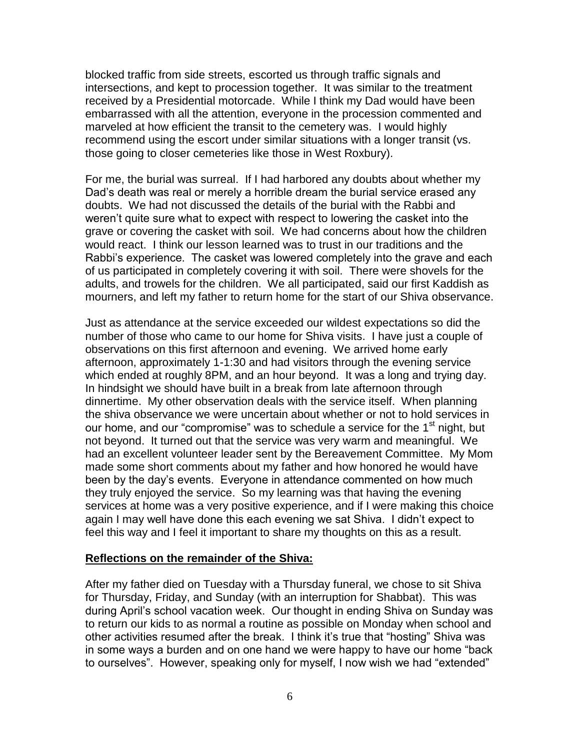blocked traffic from side streets, escorted us through traffic signals and intersections, and kept to procession together. It was similar to the treatment received by a Presidential motorcade. While I think my Dad would have been embarrassed with all the attention, everyone in the procession commented and marveled at how efficient the transit to the cemetery was. I would highly recommend using the escort under similar situations with a longer transit (vs. those going to closer cemeteries like those in West Roxbury).

For me, the burial was surreal. If I had harbored any doubts about whether my Dad's death was real or merely a horrible dream the burial service erased any doubts. We had not discussed the details of the burial with the Rabbi and weren't quite sure what to expect with respect to lowering the casket into the grave or covering the casket with soil. We had concerns about how the children would react. I think our lesson learned was to trust in our traditions and the Rabbi's experience. The casket was lowered completely into the grave and each of us participated in completely covering it with soil. There were shovels for the adults, and trowels for the children. We all participated, said our first Kaddish as mourners, and left my father to return home for the start of our Shiva observance.

Just as attendance at the service exceeded our wildest expectations so did the number of those who came to our home for Shiva visits. I have just a couple of observations on this first afternoon and evening. We arrived home early afternoon, approximately 1-1:30 and had visitors through the evening service which ended at roughly 8PM, and an hour beyond. It was a long and trying day. In hindsight we should have built in a break from late afternoon through dinnertime. My other observation deals with the service itself. When planning the shiva observance we were uncertain about whether or not to hold services in our home, and our "compromise" was to schedule a service for the 1<sup>st</sup> night, but not beyond. It turned out that the service was very warm and meaningful. We had an excellent volunteer leader sent by the Bereavement Committee. My Mom made some short comments about my father and how honored he would have been by the day's events. Everyone in attendance commented on how much they truly enjoyed the service. So my learning was that having the evening services at home was a very positive experience, and if I were making this choice again I may well have done this each evening we sat Shiva. I didn't expect to feel this way and I feel it important to share my thoughts on this as a result.

#### **Reflections on the remainder of the Shiva:**

After my father died on Tuesday with a Thursday funeral, we chose to sit Shiva for Thursday, Friday, and Sunday (with an interruption for Shabbat). This was during April's school vacation week. Our thought in ending Shiva on Sunday was to return our kids to as normal a routine as possible on Monday when school and other activities resumed after the break. I think it's true that "hosting" Shiva was in some ways a burden and on one hand we were happy to have our home "back to ourselves". However, speaking only for myself, I now wish we had "extended"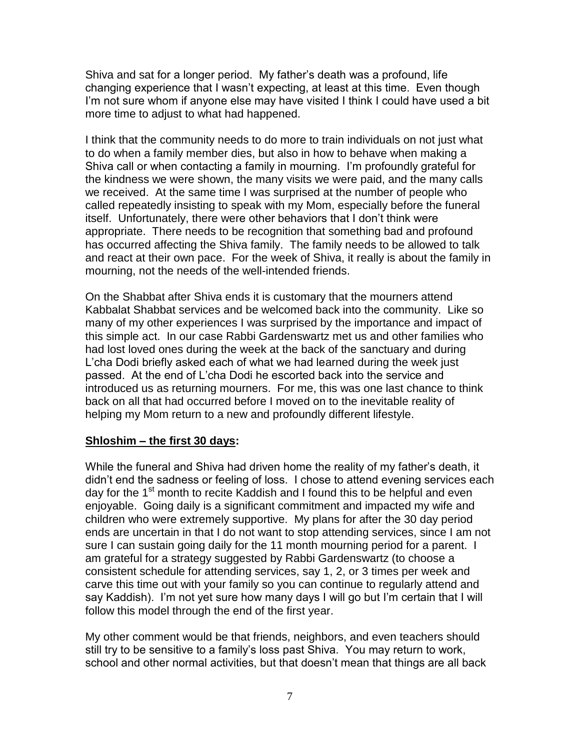Shiva and sat for a longer period. My father's death was a profound, life changing experience that I wasn't expecting, at least at this time. Even though I'm not sure whom if anyone else may have visited I think I could have used a bit more time to adjust to what had happened.

I think that the community needs to do more to train individuals on not just what to do when a family member dies, but also in how to behave when making a Shiva call or when contacting a family in mourning. I'm profoundly grateful for the kindness we were shown, the many visits we were paid, and the many calls we received. At the same time I was surprised at the number of people who called repeatedly insisting to speak with my Mom, especially before the funeral itself. Unfortunately, there were other behaviors that I don't think were appropriate. There needs to be recognition that something bad and profound has occurred affecting the Shiva family. The family needs to be allowed to talk and react at their own pace. For the week of Shiva, it really is about the family in mourning, not the needs of the well-intended friends.

On the Shabbat after Shiva ends it is customary that the mourners attend Kabbalat Shabbat services and be welcomed back into the community. Like so many of my other experiences I was surprised by the importance and impact of this simple act. In our case Rabbi Gardenswartz met us and other families who had lost loved ones during the week at the back of the sanctuary and during L'cha Dodi briefly asked each of what we had learned during the week just passed. At the end of L'cha Dodi he escorted back into the service and introduced us as returning mourners. For me, this was one last chance to think back on all that had occurred before I moved on to the inevitable reality of helping my Mom return to a new and profoundly different lifestyle.

### **Shloshim – the first 30 days:**

While the funeral and Shiva had driven home the reality of my father's death, it didn't end the sadness or feeling of loss. I chose to attend evening services each day for the 1<sup>st</sup> month to recite Kaddish and I found this to be helpful and even enjoyable. Going daily is a significant commitment and impacted my wife and children who were extremely supportive. My plans for after the 30 day period ends are uncertain in that I do not want to stop attending services, since I am not sure I can sustain going daily for the 11 month mourning period for a parent. I am grateful for a strategy suggested by Rabbi Gardenswartz (to choose a consistent schedule for attending services, say 1, 2, or 3 times per week and carve this time out with your family so you can continue to regularly attend and say Kaddish). I'm not yet sure how many days I will go but I'm certain that I will follow this model through the end of the first year.

My other comment would be that friends, neighbors, and even teachers should still try to be sensitive to a family's loss past Shiva. You may return to work, school and other normal activities, but that doesn't mean that things are all back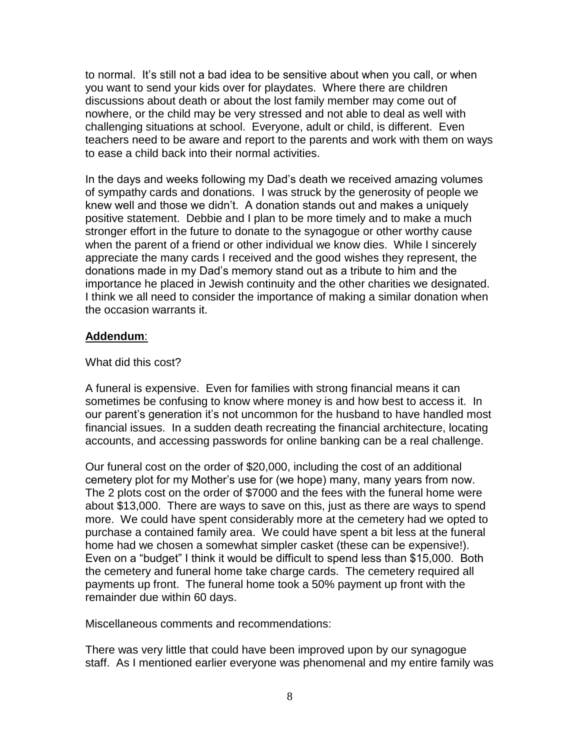to normal. It's still not a bad idea to be sensitive about when you call, or when you want to send your kids over for playdates. Where there are children discussions about death or about the lost family member may come out of nowhere, or the child may be very stressed and not able to deal as well with challenging situations at school. Everyone, adult or child, is different. Even teachers need to be aware and report to the parents and work with them on ways to ease a child back into their normal activities.

In the days and weeks following my Dad's death we received amazing volumes of sympathy cards and donations. I was struck by the generosity of people we knew well and those we didn't. A donation stands out and makes a uniquely positive statement. Debbie and I plan to be more timely and to make a much stronger effort in the future to donate to the synagogue or other worthy cause when the parent of a friend or other individual we know dies. While I sincerely appreciate the many cards I received and the good wishes they represent, the donations made in my Dad's memory stand out as a tribute to him and the importance he placed in Jewish continuity and the other charities we designated. I think we all need to consider the importance of making a similar donation when the occasion warrants it.

### **Addendum**:

### What did this cost?

A funeral is expensive. Even for families with strong financial means it can sometimes be confusing to know where money is and how best to access it. In our parent's generation it's not uncommon for the husband to have handled most financial issues. In a sudden death recreating the financial architecture, locating accounts, and accessing passwords for online banking can be a real challenge.

Our funeral cost on the order of \$20,000, including the cost of an additional cemetery plot for my Mother's use for (we hope) many, many years from now. The 2 plots cost on the order of \$7000 and the fees with the funeral home were about \$13,000. There are ways to save on this, just as there are ways to spend more. We could have spent considerably more at the cemetery had we opted to purchase a contained family area. We could have spent a bit less at the funeral home had we chosen a somewhat simpler casket (these can be expensive!). Even on a "budget" I think it would be difficult to spend less than \$15,000. Both the cemetery and funeral home take charge cards. The cemetery required all payments up front. The funeral home took a 50% payment up front with the remainder due within 60 days.

Miscellaneous comments and recommendations:

There was very little that could have been improved upon by our synagogue staff. As I mentioned earlier everyone was phenomenal and my entire family was